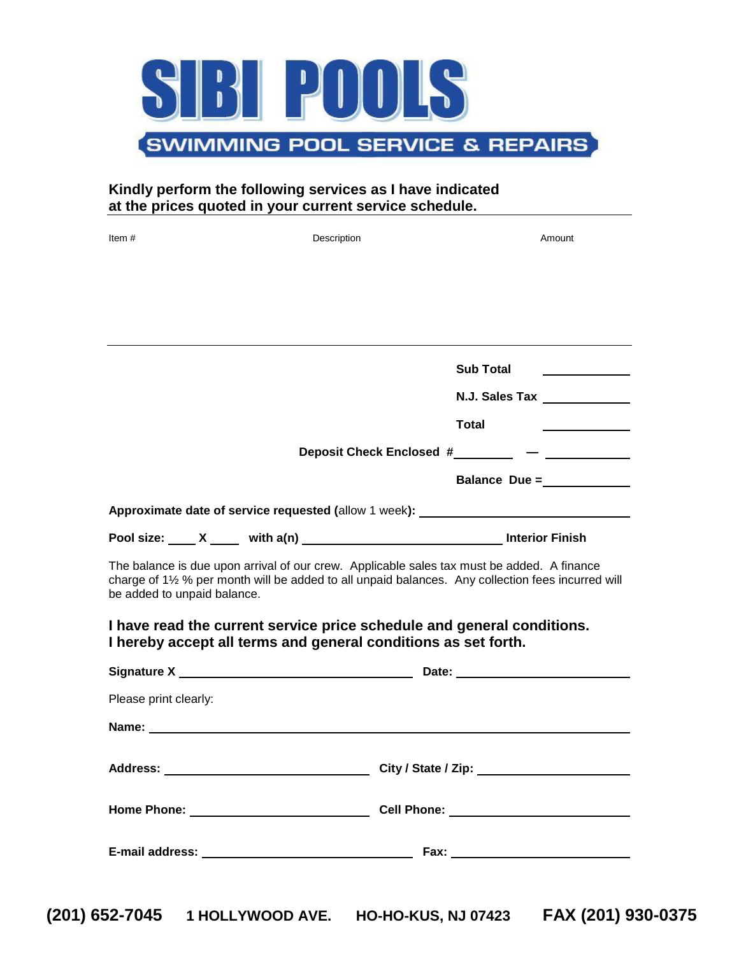

### **Kindly perform the following services as I have indicated at the prices quoted in your current service schedule.**

| Item $#$                                                                                                                                                                                                                        | Description                                                                                                                                                                                                                    | Amount                       |  |  |  |  |
|---------------------------------------------------------------------------------------------------------------------------------------------------------------------------------------------------------------------------------|--------------------------------------------------------------------------------------------------------------------------------------------------------------------------------------------------------------------------------|------------------------------|--|--|--|--|
|                                                                                                                                                                                                                                 |                                                                                                                                                                                                                                |                              |  |  |  |  |
|                                                                                                                                                                                                                                 |                                                                                                                                                                                                                                |                              |  |  |  |  |
|                                                                                                                                                                                                                                 |                                                                                                                                                                                                                                |                              |  |  |  |  |
|                                                                                                                                                                                                                                 |                                                                                                                                                                                                                                |                              |  |  |  |  |
|                                                                                                                                                                                                                                 |                                                                                                                                                                                                                                | <b>Sub Total</b>             |  |  |  |  |
|                                                                                                                                                                                                                                 |                                                                                                                                                                                                                                | N.J. Sales Tax _____________ |  |  |  |  |
|                                                                                                                                                                                                                                 |                                                                                                                                                                                                                                | <b>Total</b>                 |  |  |  |  |
| Deposit Check Enclosed #__________ - __________                                                                                                                                                                                 |                                                                                                                                                                                                                                |                              |  |  |  |  |
|                                                                                                                                                                                                                                 |                                                                                                                                                                                                                                | Balance Due =                |  |  |  |  |
| Approximate date of service requested (allow 1 week): __________________________                                                                                                                                                |                                                                                                                                                                                                                                |                              |  |  |  |  |
|                                                                                                                                                                                                                                 |                                                                                                                                                                                                                                |                              |  |  |  |  |
| The balance is due upon arrival of our crew. Applicable sales tax must be added. A finance<br>charge of 11/2 % per month will be added to all unpaid balances. Any collection fees incurred will<br>be added to unpaid balance. |                                                                                                                                                                                                                                |                              |  |  |  |  |
| I have read the current service price schedule and general conditions.<br>I hereby accept all terms and general conditions as set forth.                                                                                        |                                                                                                                                                                                                                                |                              |  |  |  |  |
|                                                                                                                                                                                                                                 |                                                                                                                                                                                                                                |                              |  |  |  |  |
| Please print clearly:                                                                                                                                                                                                           |                                                                                                                                                                                                                                |                              |  |  |  |  |
|                                                                                                                                                                                                                                 | Name: the contract of the contract of the contract of the contract of the contract of the contract of the contract of the contract of the contract of the contract of the contract of the contract of the contract of the cont |                              |  |  |  |  |
|                                                                                                                                                                                                                                 |                                                                                                                                                                                                                                |                              |  |  |  |  |
|                                                                                                                                                                                                                                 |                                                                                                                                                                                                                                |                              |  |  |  |  |
|                                                                                                                                                                                                                                 |                                                                                                                                                                                                                                |                              |  |  |  |  |
|                                                                                                                                                                                                                                 |                                                                                                                                                                                                                                |                              |  |  |  |  |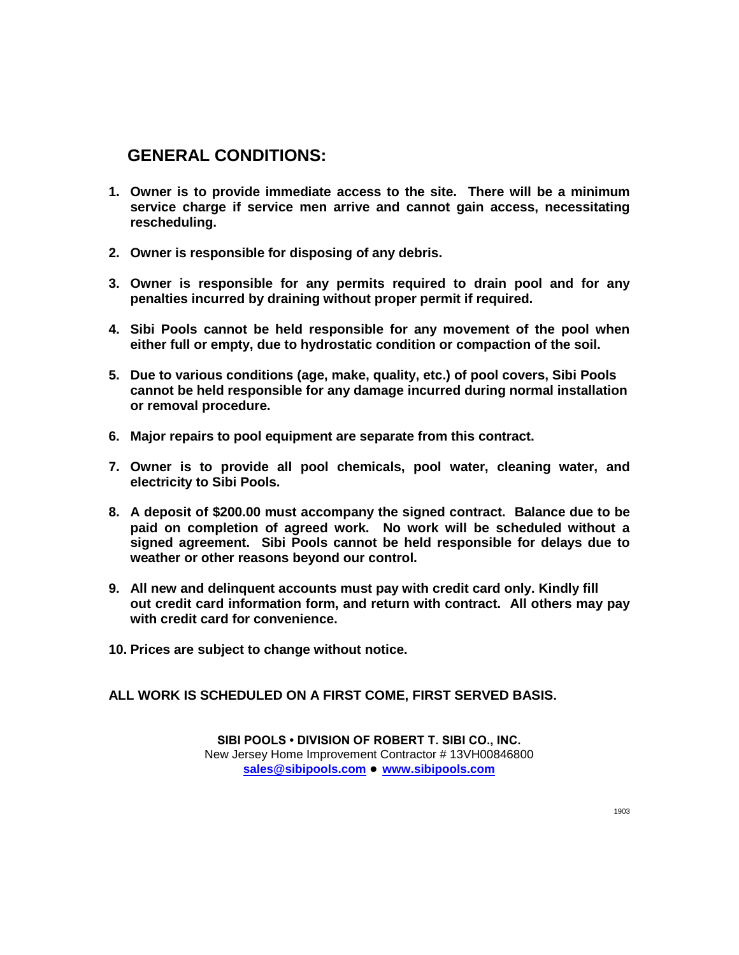## **GENERAL CONDITIONS:**

- **1. Owner is to provide immediate access to the site. There will be a minimum service charge if service men arrive and cannot gain access, necessitating rescheduling.**
- **2. Owner is responsible for disposing of any debris.**
- **3. Owner is responsible for any permits required to drain pool and for any penalties incurred by draining without proper permit if required.**
- **4. Sibi Pools cannot be held responsible for any movement of the pool when either full or empty, due to hydrostatic condition or compaction of the soil.**
- **5. Due to various conditions (age, make, quality, etc.) of pool covers, Sibi Pools cannot be held responsible for any damage incurred during normal installation or removal procedure.**
- **6. Major repairs to pool equipment are separate from this contract.**
- **7. Owner is to provide all pool chemicals, pool water, cleaning water, and electricity to Sibi Pools.**
- **8. A deposit of \$200.00 must accompany the signed contract. Balance due to be paid on completion of agreed work. No work will be scheduled without a signed agreement. Sibi Pools cannot be held responsible for delays due to weather or other reasons beyond our control.**
- **9. All new and delinquent accounts must pay with credit card only. Kindly fill out credit card information form, and return with contract. All others may pay with credit card for convenience.**
- **10. Prices are subject to change without notice.**

**ALL WORK IS SCHEDULED ON A FIRST COME, FIRST SERVED BASIS.**

**SIBI POOLS • DIVISION OF ROBERT T. SIBI CO., INC.** New Jersey Home Improvement Contractor # 13VH00846800 **[sales@sibipools.com](mailto:sales@sibipools.com) ● [www.sibipools.com](http://www.sibipools.com/)**